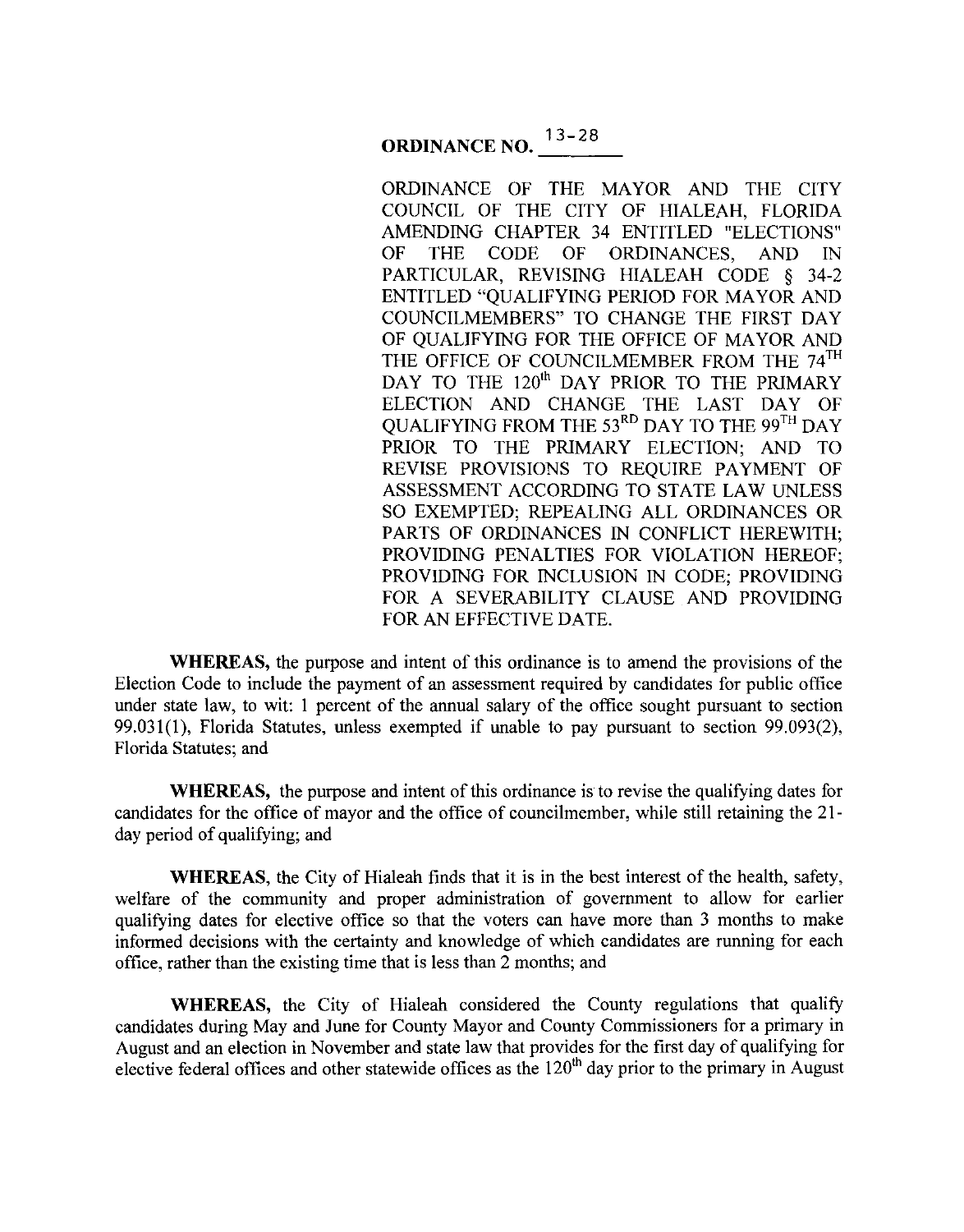# **ORDINANCE NO.**  $13-28$

ORDINANCE OF THE MAYOR AND THE CITY COUNCIL OF THE CITY OF HIALEAH, FLORIDA AMENDING CHAPTER 34 ENTITLED "ELECTIONS" OF THE CODE OF ORDINANCES, AND IN PARTICULAR, REVISING HIALEAH CODE § 34-2 ENTITLED "QUALIFYING PERIOD FOR MAYOR AND COUNCILMEMBERS" TO CHANGE THE FIRST DAY OF QUALIFYING FOR THE OFFICE OF MAYOR AND THE OFFICE OF COUNCILMEMBER FROM THE 74<sup>TH</sup> DAY TO THE 120<sup>th</sup> DAY PRIOR TO THE PRIMARY ELECTION AND CHANGE THE LAST DAY OF QUALIFYING FROM THE 53RD DAY TO THE 99TH DAY PRIOR TO THE PRIMARY ELECTION; AND TO REVISE PROVISIONS TO REQUIRE PAYMENT OF ASSESSMENT ACCORDING TO STATE LAW UNLESS SO EXEMPTED; REPEALING ALL ORDINANCES OR PARTS OF ORDINANCES IN CONFLICT HEREWITH; PROVIDING PENALTIES FOR VIOLATION HEREOF; PROVIDING FOR INCLUSION IN CODE; PROVIDING FOR A SEVERABILITY CLAUSE AND PROVIDING FOR AN EFFECTIVE DATE.

**WHEREAS,** the purpose and intent of this ordinance is to amend the provisions of the Election Code to include the payment of an assessment required by candidates for public office under state law, to wit: I percent of the annual salary of the office sought pursuant to section 99.031(1), Florida Statutes, unless exempted if unable to pay pursuant to section 99.093(2), Florida Statutes; and

**WHEREAS,** the purpose and intent of this ordinance is to revise the qualifying dates for candidates for the office of mayor and the office of councilmember, while still retaining the 21 day period of qualifying; and

**WHEREAS,** the City of Hialeah finds that it is in the best interest of the health, safety, welfare of the community and proper administration of govermnent to allow for earlier qualifying dates for elective office so that the voters can have more than 3 months to make informed decisions with the certainty and knowledge of which candidates are running for each office, rather than the existing time that is less than 2 months; and

WHEREAS, the City of Hialeah considered the County regulations that qualify candidates during May and June for County Mayor and County Commissioners for a primary in August and an election in November and state law that provides for the first day of qualifying for elective federal offices and other statewide offices as the 120<sup>th</sup> day prior to the primary in August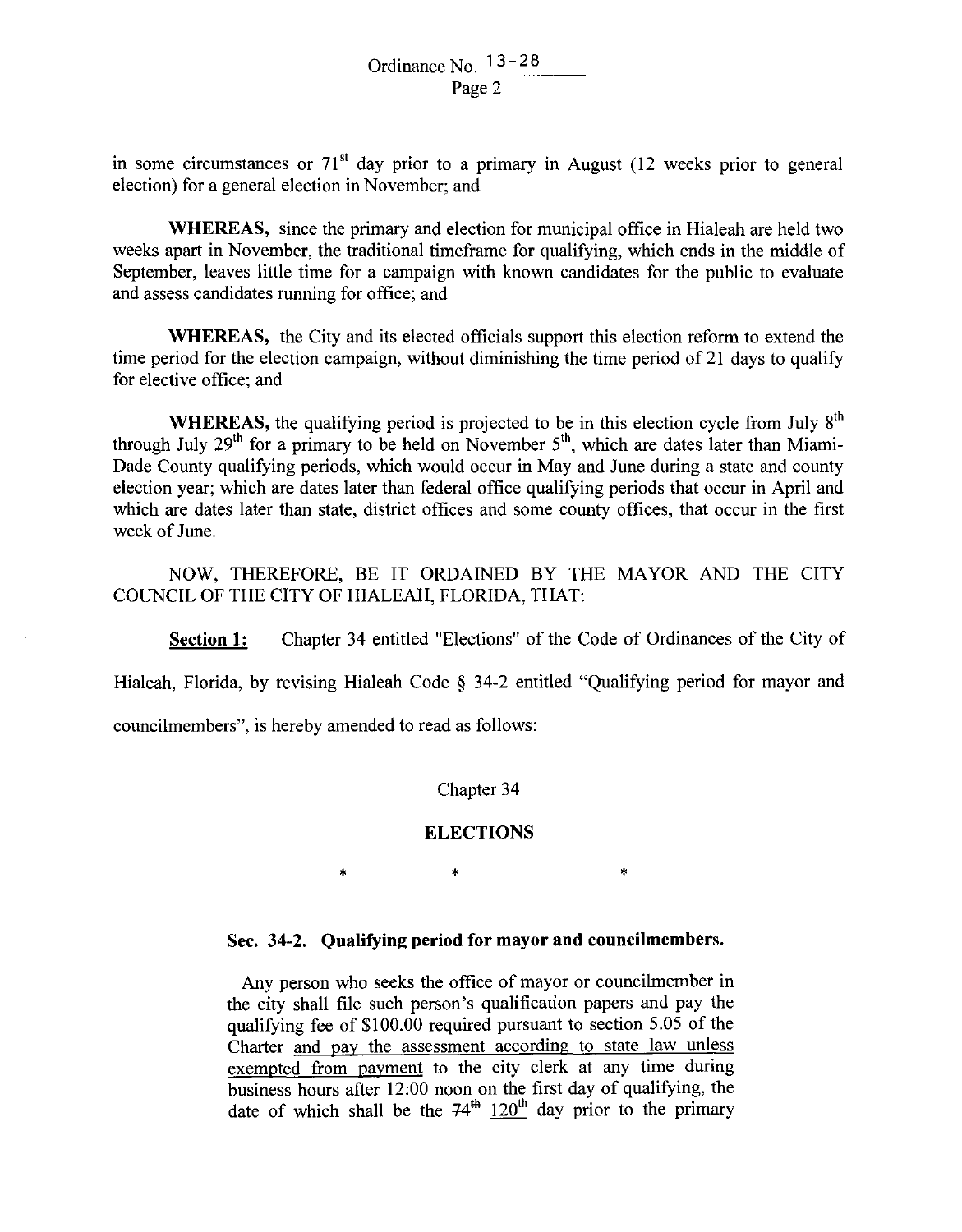in some circumstances or  $71<sup>st</sup>$  day prior to a primary in August (12 weeks prior to general election) for a general election in November; and

**WHEREAS,** since the primary and election for municipal office in Hialeah are held two weeks apart in November, the traditional timeframe for qualifying, which ends in the middle of September, leaves little time for a campaign with known candidates for the public to evaluate and assess candidates running for office; and

**WHEREAS,** the City and its elected officials support this election reform to extend the time period for the election campaign, without diminishing the time period of 21 days to qualify for elective office; and

**WHEREAS,** the qualifying period is projected to be in this election cycle from July 8<sup>th</sup> through July  $29<sup>th</sup>$  for a primary to be held on November  $5<sup>th</sup>$ , which are dates later than Miami-Dade County qualifying periods, which would occur in May and June during a state and county election year; which are dates later than federal office qualifying periods that occur in April and which are dates later than state, district offices and some county offices, that occur in the first week of June.

NOW, THEREFORE, BE IT ORDAINED BY THE MAYOR AND THE CITY COUNCIL OF THE CITY OF HIALEAH, FLORIDA, THAT:

**Section 1:** Chapter 34 entitled "Elections" of the Code of Ordinances of the City of

Hialeah, Florida, by revising Hialeah Code § 34-2 entitled "Qualifying period for mayor and

councilmembers", is hereby amended to read as follows:

Chapter 34

#### **ELECTIONS**

• • •

## **Sec. 34-2. Qualifying period for mayor and councilmembers.**

Any person who seeks the office of mayor or councilmember in the city shall file such person's qualification papers and pay the qualifying fee of \$100.00 required pursuant to section 5.05 of the Charter and pay the assessment according to state law unless exempted from payment to the city clerk at any time during business hours after 12:00 noon on the first day of qualifying, the date of which shall be the  $74<sup>th</sup> 120<sup>th</sup>$  day prior to the primary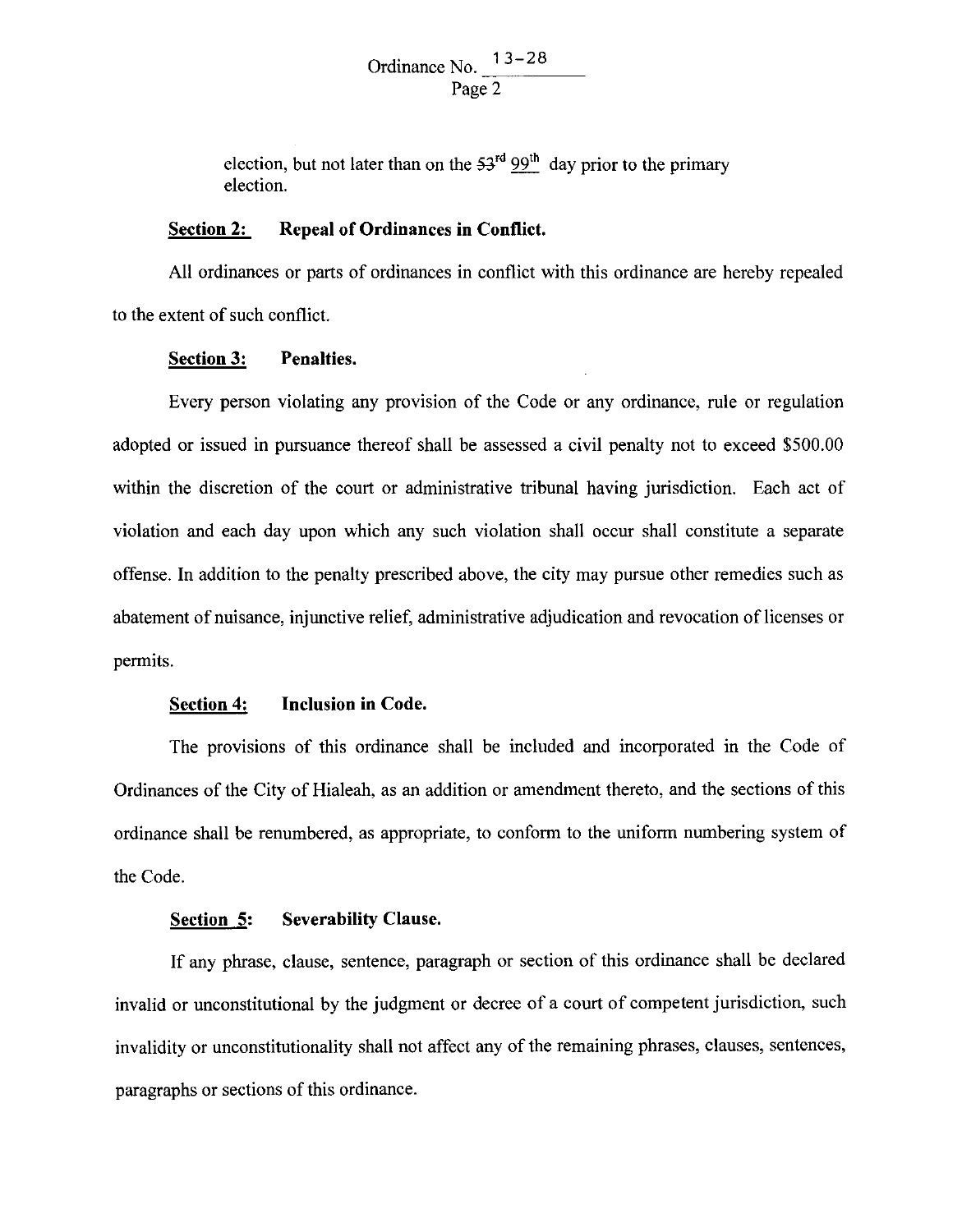Ordinance No.  $\frac{13-28}{2}$ Page 2

election, but not later than on the  $53<sup>rd</sup> 99<sup>th</sup>$  day prior to the primary election.

#### **Section 2: Repeal of Ordinances in Conflict.**

All ordinances or parts of ordinances in conflict with this ordinance are hereby repealed to the extent of such conflict.

#### **Section 3: Penalties.**

Every person violating any provision of the Code or any ordinance, rule or regulation adopted or issued in pursuance thereof shall be assessed a civil penalty not to exceed \$500.00 within the discretion of the court or administrative tribunal having jurisdiction. Each act of violation and each day upon which any such violation shall occur shall constitute a separate offense. In addition to the penalty prescribed above, the city may pursue other remedies such as abatement of nuisance, injunctive relief, administrative adjudication and revocation of licenses or permits.

## **Section 4: Inclusion in Code.**

The provisions of this ordinance shall be included and incorporated in the Code of Ordinances of the City of Hialeah, as an addition or amendment thereto, and the sections of this ordinance shall be renumbered, as appropriate, to conform to the uniform numbering system of the Code.

#### **Section 5: Severability Clause.**

If any phrase, clause, sentence, paragraph or section of this ordinance shall be declared invalid or unconstitutional by the judgment or decree of a court of competent jurisdiction, such invalidity or unconstitutionality shall not affect any of the remaining phrases, clauses, sentences, paragraphs or sections of this ordinance.